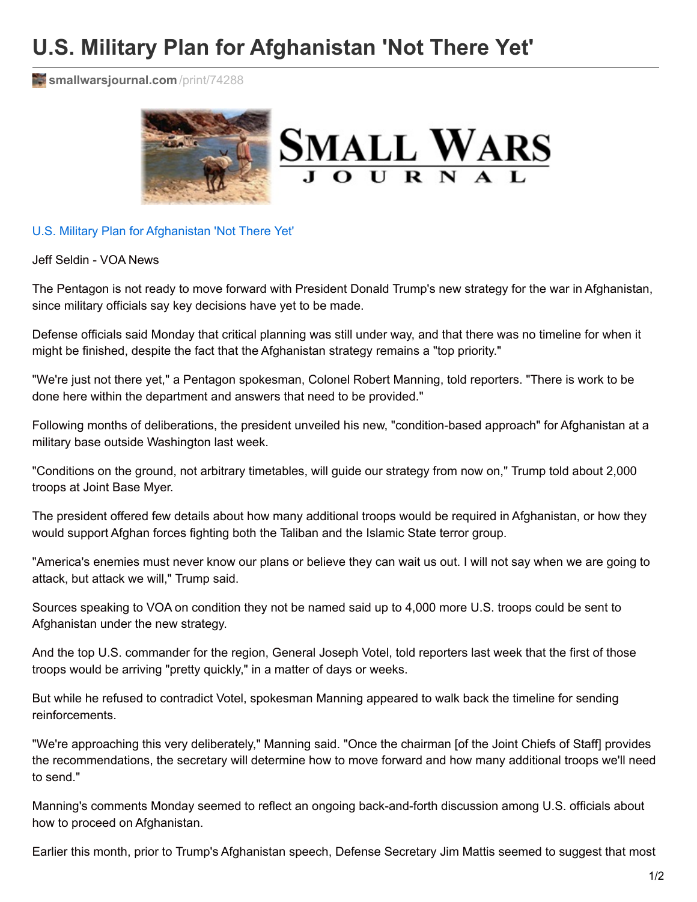## **U.S. Military Plan for Afghanistan 'Not There Yet'**

**i[smallwarsjournal.com](http://smallwarsjournal.com/print/74288)** /print/74288



U.S. Military Plan for [Afghanistan](https://www.voanews.com/a/united-states-military-plan-afghanistan-not-there-yet/4004324.html) 'Not There Yet'

Jeff Seldin - VOA News

The Pentagon is not ready to move forward with President Donald Trump's new strategy for the war in Afghanistan, since military officials say key decisions have yet to be made.

Defense officials said Monday that critical planning was still under way, and that there was no timeline for when it might be finished, despite the fact that the Afghanistan strategy remains a "top priority."

"We're just not there yet," a Pentagon spokesman, Colonel Robert Manning, told reporters. "There is work to be done here within the department and answers that need to be provided."

Following months of deliberations, the president unveiled his new, "condition-based approach" for Afghanistan at a military base outside Washington last week.

"Conditions on the ground, not arbitrary timetables, will guide our strategy from now on," Trump told about 2,000 troops at Joint Base Myer.

The president offered few details about how many additional troops would be required in Afghanistan, or how they would support Afghan forces fighting both the Taliban and the Islamic State terror group.

"America's enemies must never know our plans or believe they can wait us out. I will not say when we are going to attack, but attack we will," Trump said.

Sources speaking to VOA on condition they not be named said up to 4,000 more U.S. troops could be sent to Afghanistan under the new strategy.

And the top U.S. commander for the region, General Joseph Votel, told reporters last week that the first of those troops would be arriving "pretty quickly," in a matter of days or weeks.

But while he refused to contradict Votel, spokesman Manning appeared to walk back the timeline for sending reinforcements.

"We're approaching this very deliberately," Manning said. "Once the chairman [of the Joint Chiefs of Staff] provides the recommendations, the secretary will determine how to move forward and how many additional troops we'll need to send."

Manning's comments Monday seemed to reflect an ongoing back-and-forth discussion among U.S. officials about how to proceed on Afghanistan.

Earlier this month, prior to Trump's Afghanistan speech, Defense Secretary Jim Mattis seemed to suggest that most